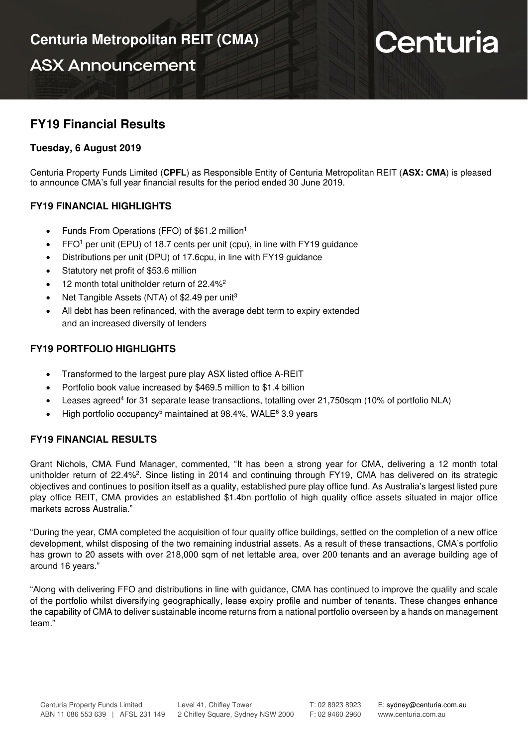**ASX Announcement** 

# Centuria

## **FY19 Financial Results**

## **Tuesday, 6 August 2019**

Centuria Property Funds Limited (**CPFL**) as Responsible Entity of Centuria Metropolitan REIT (**ASX: CMA**) is pleased to announce CMA's full year financial results for the period ended 30 June 2019.

### **FY19 FINANCIAL HIGHLIGHTS**

- Funds From Operations (FFO) of \$61.2 million<sup>1</sup>
- FFO<sup>1</sup> per unit (EPU) of 18.7 cents per unit (cpu), in line with FY19 guidance
- Distributions per unit (DPU) of 17.6cpu, in line with FY19 guidance
- Statutory net profit of \$53.6 million
- 12 month total unitholder return of 22.4%<sup>2</sup>
- Net Tangible Assets (NTA) of \$2.49 per unit<sup>3</sup>
- All debt has been refinanced, with the average debt term to expiry extended and an increased diversity of lenders

## **FY19 PORTFOLIO HIGHLIGHTS**

- Transformed to the largest pure play ASX listed office A-REIT
- Portfolio book value increased by \$469.5 million to \$1.4 billion
- Leases agreed<sup>4</sup> for 31 separate lease transactions, totalling over 21,750sqm (10% of portfolio NLA)
- High portfolio occupancy<sup>5</sup> maintained at 98.4%, WALE $6$  3.9 years

#### **FY19 FINANCIAL RESULTS**

Grant Nichols, CMA Fund Manager, commented, "It has been a strong year for CMA, delivering a 12 month total unitholder return of 22.4%<sup>2</sup>. Since listing in 2014 and continuing through FY19, CMA has delivered on its strategic objectives and continues to position itself as a quality, established pure play office fund. As Australia's largest listed pure play office REIT, CMA provides an established \$1.4bn portfolio of high quality office assets situated in major office markets across Australia."

"During the year, CMA completed the acquisition of four quality office buildings, settled on the completion of a new office development, whilst disposing of the two remaining industrial assets. As a result of these transactions, CMA's portfolio has grown to 20 assets with over 218,000 sqm of net lettable area, over 200 tenants and an average building age of around 16 years."

"Along with delivering FFO and distributions in line with guidance, CMA has continued to improve the quality and scale of the portfolio whilst diversifying geographically, lease expiry profile and number of tenants. These changes enhance the capability of CMA to deliver sustainable income returns from a national portfolio overseen by a hands on management team."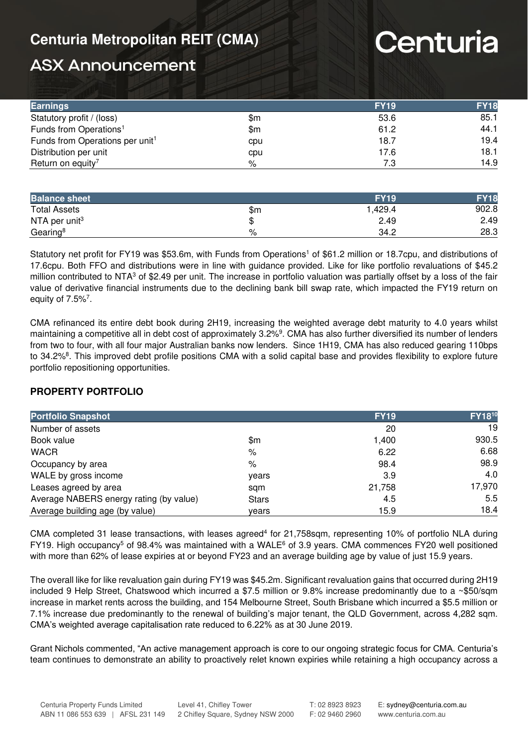## **Centuria Metropolitan REIT (CMA)**

# Centuria

# **ASX Announcement**

| <b>Earnings</b>                             |     | <b>FY19</b> | <b>FY18</b> |
|---------------------------------------------|-----|-------------|-------------|
| Statutory profit / (loss)                   | \$m | 53.6        | 85.1        |
| Funds from Operations <sup>1</sup>          | \$m | 61.2        | 44.1        |
| Funds from Operations per unit <sup>1</sup> | cpu | 18.7        | 19.4        |
| Distribution per unit                       | cpu | 17.6        | 18.1        |
| Return on equity <sup>7</sup>               | %   | 7.3         | 14.9        |

| <b>Balance sheet</b>      |     | <b>FY19</b> | <b>FY18</b> |
|---------------------------|-----|-------------|-------------|
| <b>Total Assets</b>       | \$m | .429.4      | 902.8       |
| NTA per unit <sup>3</sup> |     | 2.49        | 2.49        |
| Gearing <sup>8</sup>      | %   | 34.2        | 28.3        |

Statutory net profit for FY19 was \$53.6m, with Funds from Operations<sup>1</sup> of \$61.2 million or 18.7cpu, and distributions of 17.6cpu. Both FFO and distributions were in line with guidance provided. Like for like portfolio revaluations of \$45.2 million contributed to NTA $3$  of \$2.49 per unit. The increase in portfolio valuation was partially offset by a loss of the fair value of derivative financial instruments due to the declining bank bill swap rate, which impacted the FY19 return on equity of  $7.5\%$ <sup>7</sup>.

CMA refinanced its entire debt book during 2H19, increasing the weighted average debt maturity to 4.0 years whilst maintaining a competitive all in debt cost of approximately 3.2%<sup>9</sup>. CMA has also further diversified its number of lenders from two to four, with all four major Australian banks now lenders. Since 1H19, CMA has also reduced gearing 110bps to 34.2%<sup>8</sup>. This improved debt profile positions CMA with a solid capital base and provides flexibility to explore future portfolio repositioning opportunities.

## **PROPERTY PORTFOLIO**

| <b>Portfolio Snapshot</b>               |              | <b>FY19</b> | <b>FY1810</b> |
|-----------------------------------------|--------------|-------------|---------------|
| Number of assets                        |              | 20          | 19            |
| Book value                              | \$m          | 1,400       | 930.5         |
| <b>WACR</b>                             | %            | 6.22        | 6.68          |
| Occupancy by area                       | %            | 98.4        | 98.9          |
| WALE by gross income                    | years        | 3.9         | 4.0           |
| Leases agreed by area                   | sam          | 21,758      | 17,970        |
| Average NABERS energy rating (by value) | <b>Stars</b> | 4.5         | 5.5           |
| Average building age (by value)         | vears        | 15.9        | 18.4          |

CMA completed 31 lease transactions, with leases agreed<sup>4</sup> for 21,758sqm, representing 10% of portfolio NLA during FY19. High occupancy<sup>5</sup> of 98.4% was maintained with a WALE<sup>6</sup> of 3.9 years. CMA commences FY20 well positioned with more than 62% of lease expiries at or beyond FY23 and an average building age by value of just 15.9 years.

The overall like for like revaluation gain during FY19 was \$45.2m. Significant revaluation gains that occurred during 2H19 included 9 Help Street, Chatswood which incurred a \$7.5 million or 9.8% increase predominantly due to a ~\$50/sqm increase in market rents across the building, and 154 Melbourne Street, South Brisbane which incurred a \$5.5 million or 7.1% increase due predominantly to the renewal of building's major tenant, the QLD Government, across 4,282 sqm. CMA's weighted average capitalisation rate reduced to 6.22% as at 30 June 2019.

Grant Nichols commented, "An active management approach is core to our ongoing strategic focus for CMA. Centuria's team continues to demonstrate an ability to proactively relet known expiries while retaining a high occupancy across a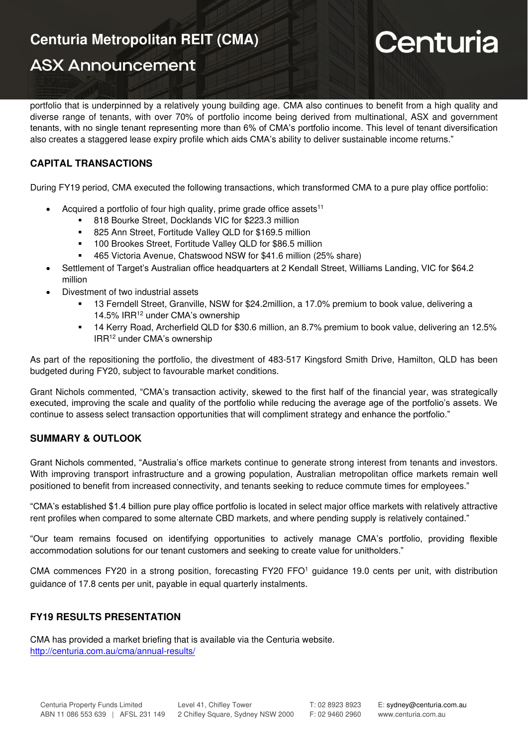# **Centuria Metropolitan REIT (CMA)**

## **ASX Announcement**

# Centuria

portfolio that is underpinned by a relatively young building age. CMA also continues to benefit from a high quality and diverse range of tenants, with over 70% of portfolio income being derived from multinational, ASX and government tenants, with no single tenant representing more than 6% of CMA's portfolio income. This level of tenant diversification also creates a staggered lease expiry profile which aids CMA's ability to deliver sustainable income returns."

## **CAPITAL TRANSACTIONS**

During FY19 period, CMA executed the following transactions, which transformed CMA to a pure play office portfolio:

- Acquired a portfolio of four high quality, prime grade office assets<sup>11</sup>
	- 818 Bourke Street, Docklands VIC for \$223.3 million
	- 825 Ann Street, Fortitude Valley QLD for \$169.5 million
	- 100 Brookes Street, Fortitude Valley QLD for \$86.5 million
	- 465 Victoria Avenue, Chatswood NSW for \$41.6 million (25% share)
- Settlement of Target's Australian office headquarters at 2 Kendall Street, Williams Landing, VIC for \$64.2 million
- Divestment of two industrial assets
	- 13 Ferndell Street, Granville, NSW for \$24.2million, a 17.0% premium to book value, delivering a 14.5% IRR<sup>12</sup> under CMA's ownership
	- 14 Kerry Road, Archerfield QLD for \$30.6 million, an 8.7% premium to book value, delivering an 12.5% IRR<sup>12</sup> under CMA's ownership

As part of the repositioning the portfolio, the divestment of 483-517 Kingsford Smith Drive, Hamilton, QLD has been budgeted during FY20, subject to favourable market conditions.

Grant Nichols commented, "CMA's transaction activity, skewed to the first half of the financial year, was strategically executed, improving the scale and quality of the portfolio while reducing the average age of the portfolio's assets. We continue to assess select transaction opportunities that will compliment strategy and enhance the portfolio."

## **SUMMARY & OUTLOOK**

Grant Nichols commented, "Australia's office markets continue to generate strong interest from tenants and investors. With improving transport infrastructure and a growing population, Australian metropolitan office markets remain well positioned to benefit from increased connectivity, and tenants seeking to reduce commute times for employees."

"CMA's established \$1.4 billion pure play office portfolio is located in select major office markets with relatively attractive rent profiles when compared to some alternate CBD markets, and where pending supply is relatively contained."

"Our team remains focused on identifying opportunities to actively manage CMA's portfolio, providing flexible accommodation solutions for our tenant customers and seeking to create value for unitholders."

CMA commences FY20 in a strong position, forecasting FY20 FFO<sup>1</sup> guidance 19.0 cents per unit, with distribution guidance of 17.8 cents per unit, payable in equal quarterly instalments.

## **FY19 RESULTS PRESENTATION**

CMA has provided a market briefing that is available via the Centuria website. <http://centuria.com.au/cma/annual-results/>